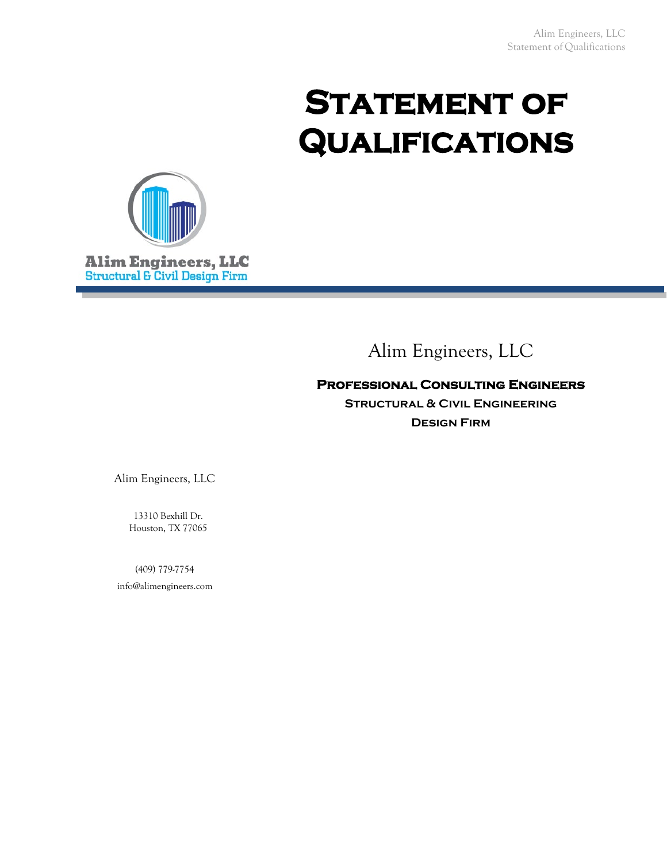# STATEMENT OF **Qualifications**



# Alim Engineers, LLC

#### **Professional Consulting Engineers**

**Structural & Civil Engineering Design Firm**

Alim Engineers, LLC

13310 Bexhill Dr. Houston, TX 77065

(409) 779-7754 info@alimengineers.com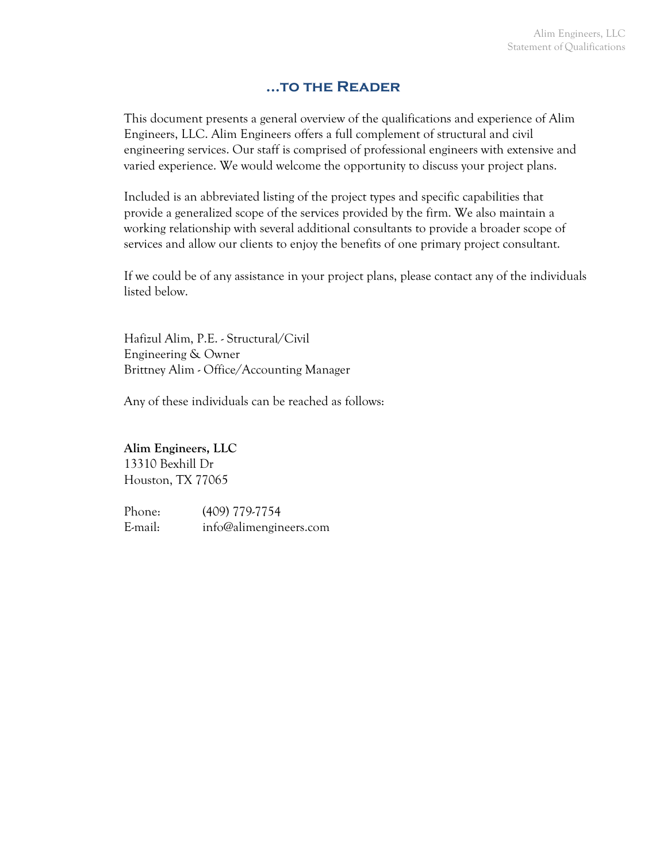#### **...to the Reader**

This document presents a general overview of the qualifications and experience of Alim Engineers, LLC. Alim Engineers offers a full complement of structural and civil engineering services. Our staff is comprised of professional engineers with extensive and varied experience. We would welcome the opportunity to discuss your project plans.

Included is an abbreviated listing of the project types and specific capabilities that provide a generalized scope of the services provided by the firm. We also maintain a working relationship with several additional consultants to provide a broader scope of services and allow our clients to enjoy the benefits of one primary project consultant.

If we could be of any assistance in your project plans, please contact any of the individuals listed below.

Hafizul Alim, P.E. - Structural/Civil Engineering & Owner Brittney Alim - Office/Accounting Manager

Any of these individuals can be reached as follows:

#### **Alim Engineers, LLC**

13310 Bexhill Dr Houston, TX 77065

Phone: (409) 779-7754 E-mail: info@alimengineers.com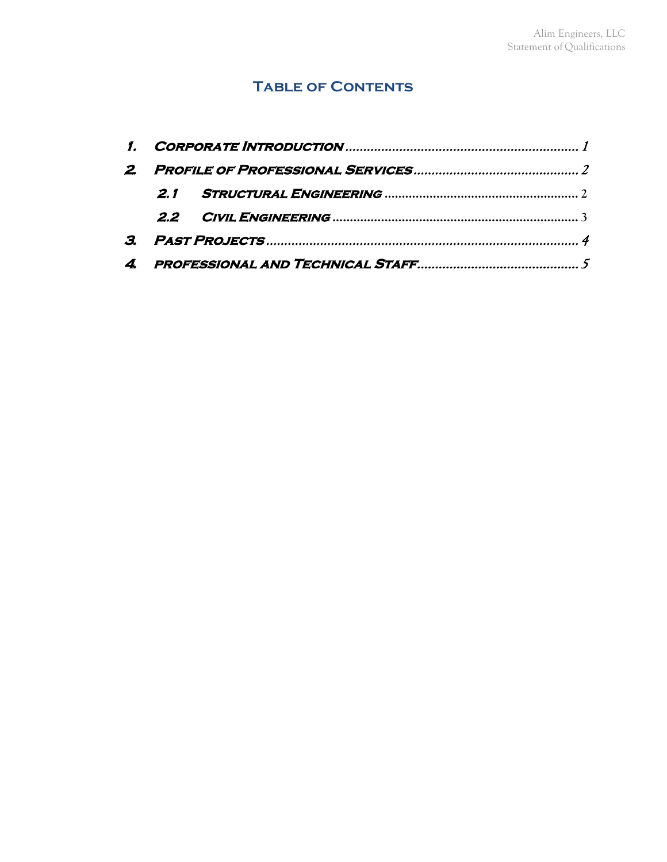## **Table of Contents**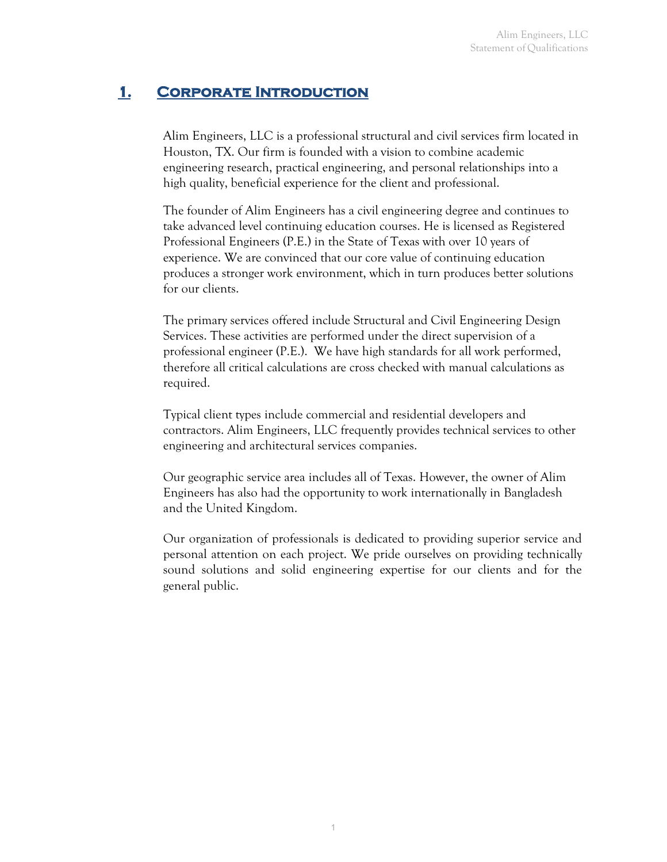## <span id="page-3-0"></span>**1. Corporate Introduction**

Alim Engineers, LLC is a professional structural and civil services firm located in Houston, TX. Our firm is founded with a vision to combine academic engineering research, practical engineering, and personal relationships into a high quality, beneficial experience for the client and professional.

The founder of Alim Engineers has a civil engineering degree and continues to take advanced level continuing education courses. He is licensed as Registered Professional Engineers (P.E.) in the State of Texas with over 10 years of experience. We are convinced that our core value of continuing education produces a stronger work environment, which in turn produces better solutions for our clients.

The primary services offered include Structural and Civil Engineering Design Services. These activities are performed under the direct supervision of a professional engineer (P.E.). We have high standards for all work performed, therefore all critical calculations are cross checked with manual calculations as required.

Typical client types include commercial and residential developers and contractors. Alim Engineers, LLC frequently provides technical services to other engineering and architectural services companies.

Our geographic service area includes all of Texas. However, the owner of Alim Engineers has also had the opportunity to work internationally in Bangladesh and the United Kingdom.

Our organization of professionals is dedicated to providing superior service and personal attention on each project. We pride ourselves on providing technically sound solutions and solid engineering expertise for our clients and for the general public.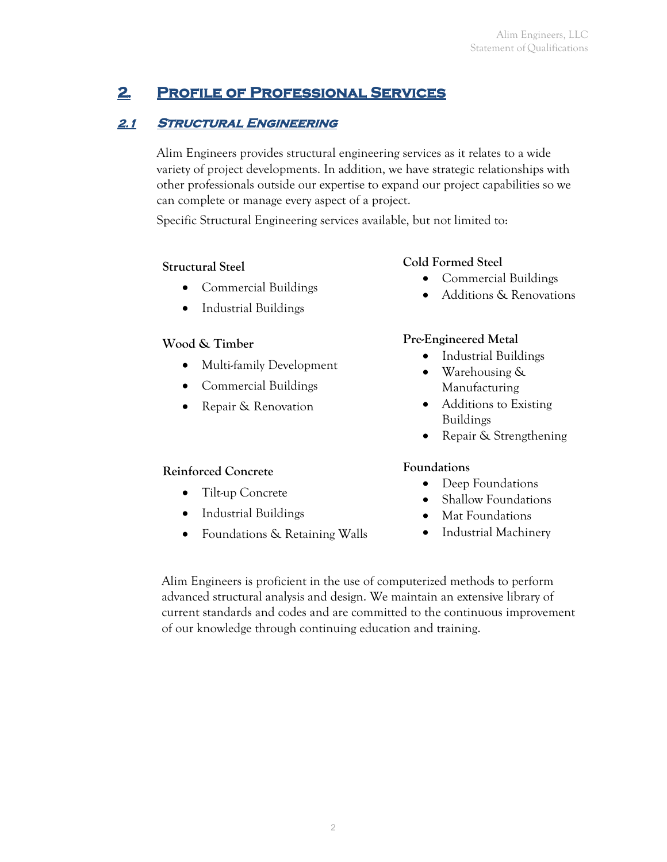# <span id="page-4-0"></span>**2. Profile of Professional Services**

## <span id="page-4-1"></span>**2.1 STRUCTURAL ENGINEERING**

Alim Engineers provides structural engineering services as it relates to a wide variety of project developments. In addition, we have strategic relationships with other professionals outside our expertise to expand our project capabilities so we can complete or manage every aspect of a project.

Specific Structural Engineering services available, but not limited to:

## **Structural Steel**

- Commercial Buildings
- Industrial Buildings

## **Wood & Timber**

- Multi-family Development
- Commercial Buildings
- Repair & Renovation

## **Reinforced Concrete**

- Tilt-up Concrete
- Industrial Buildings
- Foundations & Retaining Walls

## **Cold Formed Steel**

- Commercial Buildings
- Additions & Renovations

## **Pre-Engineered Metal**

- Industrial Buildings
- Warehousing & Manufacturing
- Additions to Existing Buildings
- Repair & Strengthening

## **Foundations**

- Deep Foundations
- Shallow Foundations
- Mat Foundations
- Industrial Machinery

Alim Engineers is proficient in the use of computerized methods to perform advanced structural analysis and design. We maintain an extensive library of current standards and codes and are committed to the continuous improvement of our knowledge through continuing education and training.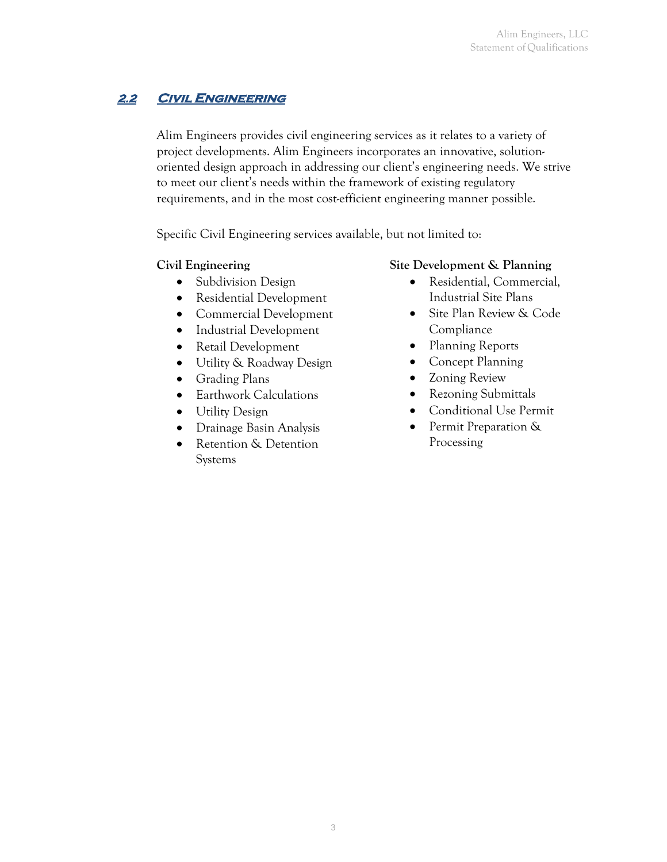#### <span id="page-5-0"></span>**2.2 Civil Engineering**

Alim Engineers provides civil engineering services as it relates to a variety of project developments. Alim Engineers incorporates an innovative, solutionoriented design approach in addressing our client's engineering needs. We strive to meet our client's needs within the framework of existing regulatory requirements, and in the most cost-efficient engineering manner possible.

Specific Civil Engineering services available, but not limited to:

#### **Civil Engineering**

- Subdivision Design
- Residential Development
- Commercial Development
- Industrial Development
- Retail Development
- Utility & Roadway Design
- Grading Plans
- Earthwork Calculations
- Utility Design
- Drainage Basin Analysis
- Retention & Detention Systems

#### **Site Development & Planning**

- Residential, Commercial, Industrial Site Plans
- Site Plan Review & Code Compliance
- Planning Reports
- Concept Planning
- Zoning Review
- Rezoning Submittals
- Conditional Use Permit
- Permit Preparation & Processing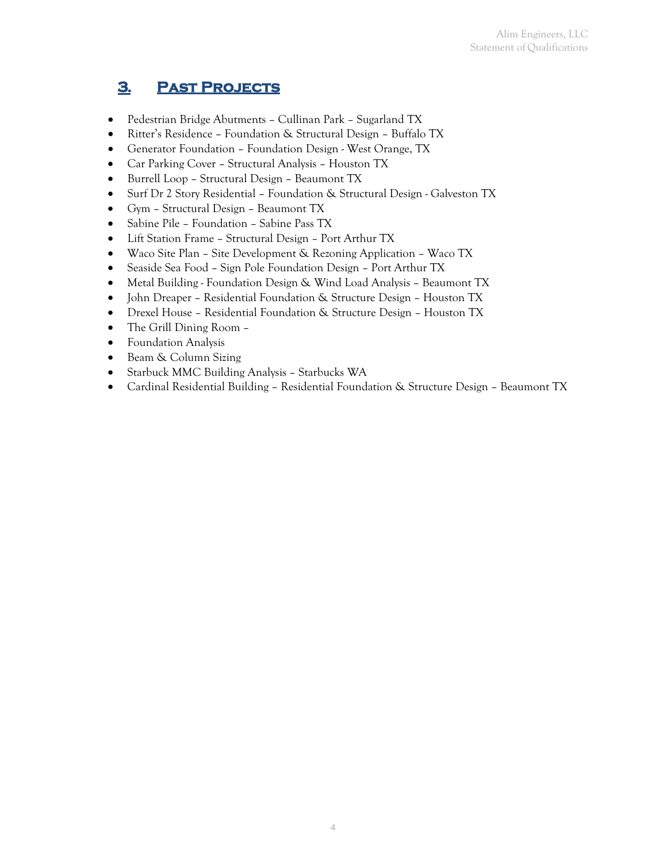## <span id="page-6-0"></span>**3. Past Projects**

- Pedestrian Bridge Abutments Cullinan Park Sugarland TX
- Ritter's Residence Foundation & Structural Design Buffalo TX
- Generator Foundation Foundation Design West Orange, TX
- Car Parking Cover Structural Analysis Houston TX
- Burrell Loop Structural Design Beaumont TX
- Surf Dr 2 Story Residential Foundation & Structural Design Galveston TX
- Gym Structural Design Beaumont TX
- Sabine Pile Foundation Sabine Pass TX
- Lift Station Frame Structural Design Port Arthur TX
- Waco Site Plan Site Development & Rezoning Application Waco TX
- Seaside Sea Food Sign Pole Foundation Design Port Arthur TX
- Metal Building Foundation Design & Wind Load Analysis Beaumont TX
- John Dreaper Residential Foundation & Structure Design Houston TX
- Drexel House Residential Foundation & Structure Design Houston TX
- The Grill Dining Room –
- Foundation Analysis
- Beam & Column Sizing
- Starbuck MMC Building Analysis Starbucks WA
- <span id="page-6-1"></span>• Cardinal Residential Building – Residential Foundation & Structure Design – Beaumont TX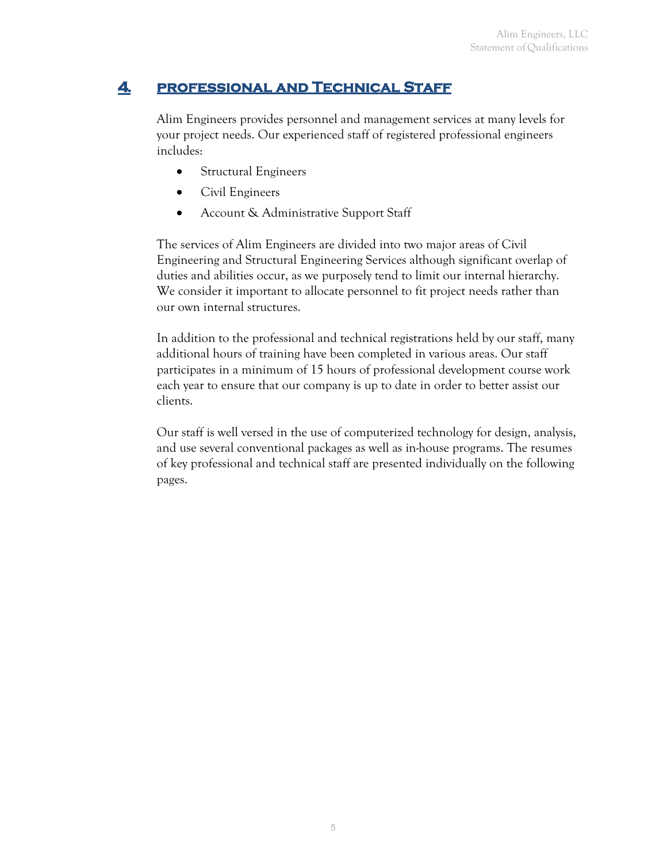#### **4. professional and Technical Staff**

Alim Engineers provides personnel and management services at many levels for your project needs. Our experienced staff of registered professional engineers includes:

- Structural Engineers
- Civil Engineers
- Account & Administrative Support Staff

The services of Alim Engineers are divided into two major areas of Civil Engineering and Structural Engineering Services although significant overlap of duties and abilities occur, as we purposely tend to limit our internal hierarchy. We consider it important to allocate personnel to fit project needs rather than our own internal structures.

In addition to the professional and technical registrations held by our staff, many additional hours of training have been completed in various areas. Our staff participates in a minimum of 15 hours of professional development course work each year to ensure that our company is up to date in order to better assist our clients.

Our staff is well versed in the use of computerized technology for design, analysis, and use several conventional packages as well as in-house programs. The resumes of key professional and technical staff are presented individually on the following pages.